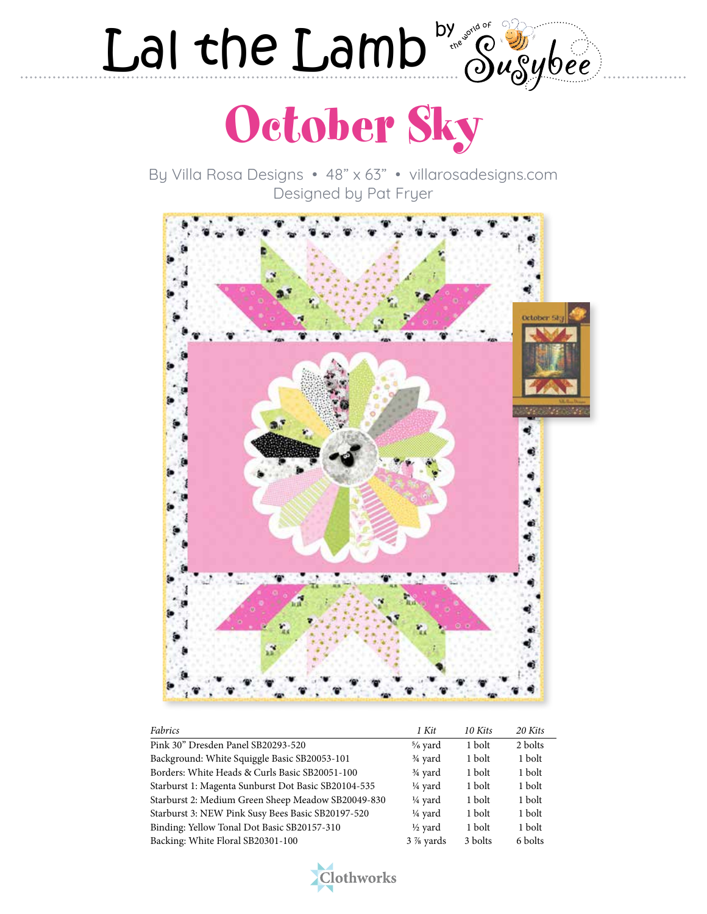## Lal the Lamb  $\omega_{\text{c}}^{\text{b}}\omega_{\text{c}}^{\text{b}}$



By Villa Rosa Designs • 48" x 63" • villarosadesigns.com Designed by Pat Fryer



| Fabrics                                             | 1 Kit                | 10 Kits | 20 Kits |
|-----------------------------------------------------|----------------------|---------|---------|
| Pink 30" Dresden Panel SB20293-520                  | $\frac{5}{6}$ yard   | 1 bolt  | 2 bolts |
| Background: White Squiggle Basic SB20053-101        | $\frac{3}{4}$ yard   | 1 bolt  | 1 bolt  |
| Borders: White Heads & Curls Basic SB20051-100      | $\frac{3}{4}$ yard   | 1 bolt  | 1 bolt  |
| Starburst 1: Magenta Sunburst Dot Basic SB20104-535 | $\frac{1}{4}$ yard   | 1 bolt  | 1 bolt  |
| Starburst 2: Medium Green Sheep Meadow SB20049-830  | 1/ <sub>4</sub> yard | 1 bolt  | 1 bolt  |
| Starburst 3: NEW Pink Susy Bees Basic SB20197-520   | 1/ <sub>4</sub> yard | 1 bolt  | 1 bolt  |
| Binding: Yellow Tonal Dot Basic SB20157-310         | $\frac{1}{2}$ yard   | 1 bolt  | 1 bolt  |
| Backing: White Floral SB20301-100                   | $3\%$ yards          | 3 bolts | 6 bolts |